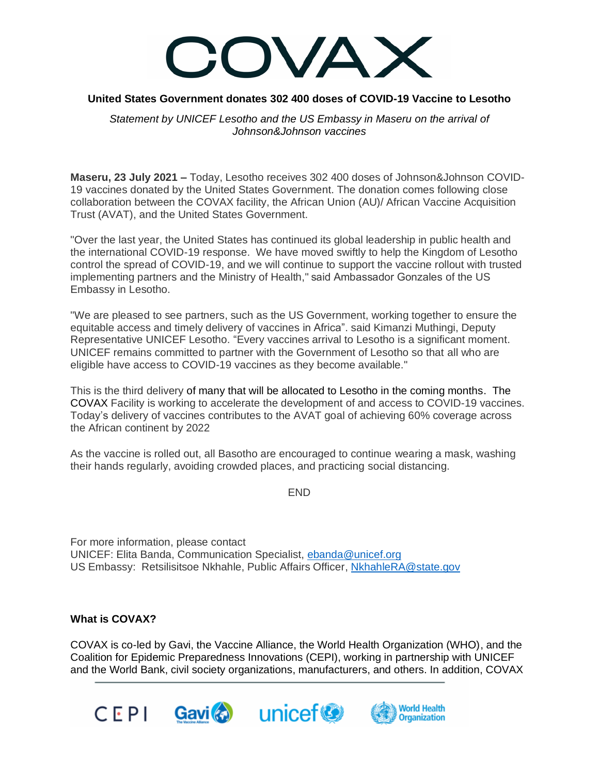

## **United States Government donates 302 400 doses of COVID-19 Vaccine to Lesotho**

*Statement by UNICEF Lesotho and the US Embassy in Maseru on the arrival of Johnson&Johnson vaccines* 

**Maseru, 23 July 2021 –** Today, Lesotho receives 302 400 doses of Johnson&Johnson COVID-19 vaccines donated by the United States Government. The donation comes following close collaboration between the COVAX facility, the African Union (AU)/ African Vaccine Acquisition Trust (AVAT), and the United States Government.

"Over the last year, the United States has continued its global leadership in public health and the international COVID-19 response. We have moved swiftly to help the Kingdom of Lesotho control the spread of COVID-19, and we will continue to support the vaccine rollout with trusted implementing partners and the Ministry of Health," said Ambassador Gonzales of the US Embassy in Lesotho.

"We are pleased to see partners, such as the US Government, working together to ensure the equitable access and timely delivery of vaccines in Africa". said Kimanzi Muthingi, Deputy Representative UNICEF Lesotho. "Every vaccines arrival to Lesotho is a significant moment. UNICEF remains committed to partner with the Government of Lesotho so that all who are eligible have access to COVID-19 vaccines as they become available."

This is the third delivery of many that will be allocated to Lesotho in the coming months. The COVAX Facility is working to accelerate the development of and access to COVID-19 vaccines. Today's delivery of vaccines contributes to the AVAT goal of achieving 60% coverage across the African continent by 2022

As the vaccine is rolled out, all Basotho are encouraged to continue wearing a mask, washing their hands regularly, avoiding crowded places, and practicing social distancing.

END

For more information, please contact UNICEF: Elita Banda, Communication Specialist, [ebanda@unicef.org](mailto:ebanda@unicef.org) US Embassy: Retsilisitsoe Nkhahle, Public Affairs Officer, [NkhahleRA@state.gov](mailto:NkhahleRA@state.gov)

## **What is COVAX?**

COVAX is co-led by Gavi, the Vaccine Alliance, the World Health Organization (WHO), and the Coalition for Epidemic Preparedness Innovations (CEPI), working in partnership with UNICEF and the World Bank, civil society organizations, manufacturers, and others. In addition, COVAX